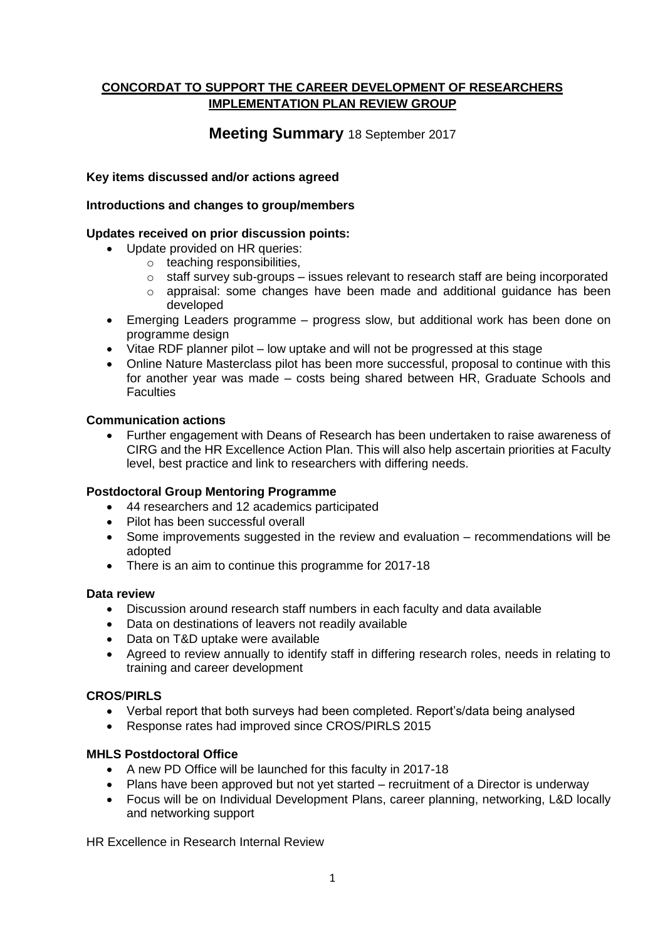# **CONCORDAT TO SUPPORT THE CAREER DEVELOPMENT OF RESEARCHERS IMPLEMENTATION PLAN REVIEW GROUP**

# **Meeting Summary** 18 September 2017

## **Key items discussed and/or actions agreed**

## **Introductions and changes to group/members**

## **Updates received on prior discussion points:**

- Update provided on HR queries:
	- o teaching responsibilities,
		- $\circ$  staff survey sub-groups issues relevant to research staff are being incorporated
		- $\circ$  appraisal: some changes have been made and additional guidance has been developed
- Emerging Leaders programme progress slow, but additional work has been done on programme design
- Vitae RDF planner pilot low uptake and will not be progressed at this stage
- Online Nature Masterclass pilot has been more successful, proposal to continue with this for another year was made – costs being shared between HR, Graduate Schools and **Faculties**

#### **Communication actions**

 Further engagement with Deans of Research has been undertaken to raise awareness of CIRG and the HR Excellence Action Plan. This will also help ascertain priorities at Faculty level, best practice and link to researchers with differing needs.

#### **Postdoctoral Group Mentoring Programme**

- 44 researchers and 12 academics participated
- Pilot has been successful overall
- Some improvements suggested in the review and evaluation recommendations will be adopted
- There is an aim to continue this programme for 2017-18

#### **Data review**

- Discussion around research staff numbers in each faculty and data available
- Data on destinations of leavers not readily available
- Data on T&D uptake were available
- Agreed to review annually to identify staff in differing research roles, needs in relating to training and career development

# **CROS**/**PIRLS**

- Verbal report that both surveys had been completed. Report's/data being analysed
- Response rates had improved since CROS/PIRLS 2015

# **MHLS Postdoctoral Office**

- A new PD Office will be launched for this faculty in 2017-18
- Plans have been approved but not yet started recruitment of a Director is underway
- Focus will be on Individual Development Plans, career planning, networking, L&D locally and networking support

HR Excellence in Research Internal Review